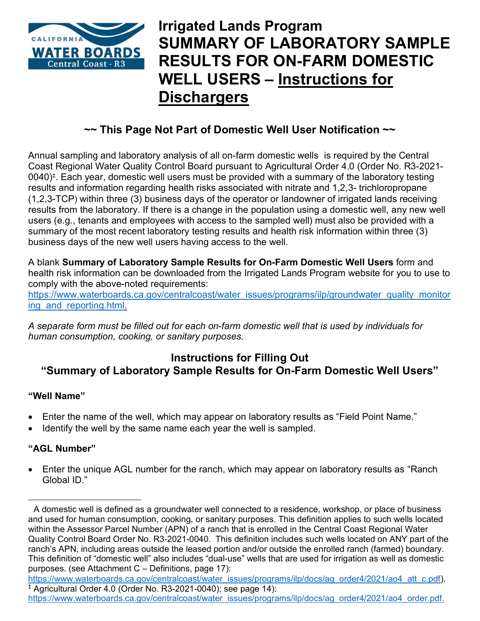

# **Irrigated Lands Program SUMMARY OF LABORATORY SAMPLE RESULTS FOR ON-FARM DOMESTIC WELL USERS – Instructions for Dischargers**

## **~~ This Page Not Part of Domestic Well User Notification ~~**

Annual sampling and laboratory analysis of all on-farm domestic wells is required by the Central Coast Regional Water Quality Control Board pursuant to Agricultural Order 4.0 (Order No. R3-2021- 0040)[‡](#page-0-0) . Each year, domestic well users must be provided with a summary of the laboratory testing results and information regarding health risks associated with nitrate and 1,2,3- trichloropropane (1,2,3-TCP) within three (3) business days of the operator or landowner of irrigated lands receiving results from the laboratory. If there is a change in the population using a domestic well, any new well users (e.g., tenants and employees with access to the sampled well) must also be provided with a summary of the most recent laboratory testing results and health risk information within three (3) business days of the new well users having access to the well.

A blank **Summary of Laboratory Sample Results for On-Farm Domestic Well Users** form and health risk information can be downloaded from the Irrigated Lands Program website for you to use to comply with the above-noted requirements:

[https://www.waterboards.ca.gov/centralcoast/water\\_issues/programs/ilp/groundwater\\_quality\\_monitor](https://www.waterboards.ca.gov/centralcoast/water_issues/programs/ilp/groundwater_quality_monitoring_and_reporting.html) ing and reporting.html.

*A separate form must be filled out for each on-farm domestic well that is used by individuals for human consumption, cooking, or sanitary purposes.*

### **Instructions for Filling Out "Summary of Laboratory Sample Results for On-Farm Domestic Well Users"**

#### **"Well Name"**

- Enter the name of the well, which may appear on laboratory results as "Field Point Name."
- Identify the well by the same name each year the well is sampled.

#### **"AGL Number"**

Enter the unique AGL number for the ranch, which may appear on laboratory results as "Ranch Global ID."

A domestic well is defined as a groundwater well connected to a residence, workshop, or place of business and used for human consumption, cooking, or sanitary purposes. This definition applies to such wells located within the Assessor Parcel Number (APN) of a ranch that is enrolled in the Central Coast Regional Water Quality Control Board Order No. R3-2021-0040. This definition includes such wells located on ANY part of the ranch's APN, including areas outside the leased portion and/or outside the enrolled ranch (farmed) boundary. This definition of "domestic well" also includes "dual-use" wells that are used for irrigation as well as domestic purposes. (see Attachment C – Definitions, page 17):

<span id="page-0-0"></span>[https://www.waterboards.ca.gov/centralcoast/water\\_issues/programs/ilp/docs/ag\\_order4/2021/ao4\\_att\\_c.pdf](https://www.waterboards.ca.gov/centralcoast/water_issues/programs/ilp/docs/ag_order4/2021/ao4_att_c.pdf)).  $\frac{1}{4}$  Agricultural Order 4.0 (Order No. R3-2021-0040); see page 14):

[https://www.waterboards.ca.gov/centralcoast/water\\_issues/programs/ilp/docs/ag\\_order4/2021/ao4\\_order.pdf](https://www.waterboards.ca.gov/centralcoast/water_issues/programs/ilp/docs/ag_order4/2021/ao4_order.pdf).